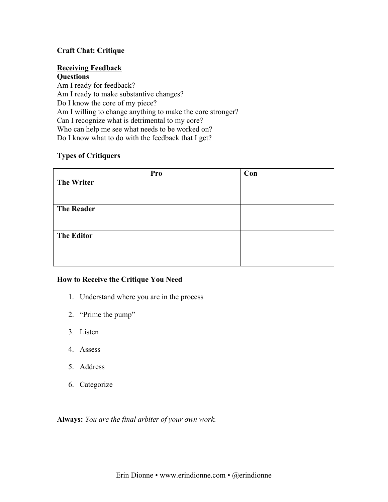## **Craft Chat: Critique**

# **Receiving Feedback**

**Questions** Am I ready for feedback? Am I ready to make substantive changes? Do I know the core of my piece? Am I willing to change anything to make the core stronger? Can I recognize what is detrimental to my core? Who can help me see what needs to be worked on? Do I know what to do with the feedback that I get?

## **Types of Critiquers**

|                   | Pro | Con |
|-------------------|-----|-----|
| <b>The Writer</b> |     |     |
|                   |     |     |
|                   |     |     |
| <b>The Reader</b> |     |     |
|                   |     |     |
|                   |     |     |
| <b>The Editor</b> |     |     |
|                   |     |     |
|                   |     |     |
|                   |     |     |

## **How to Receive the Critique You Need**

- 1. Understand where you are in the process
- 2. "Prime the pump"
- 3. Listen
- 4. Assess
- 5. Address
- 6. Categorize

**Always:** *You are the final arbiter of your own work.*